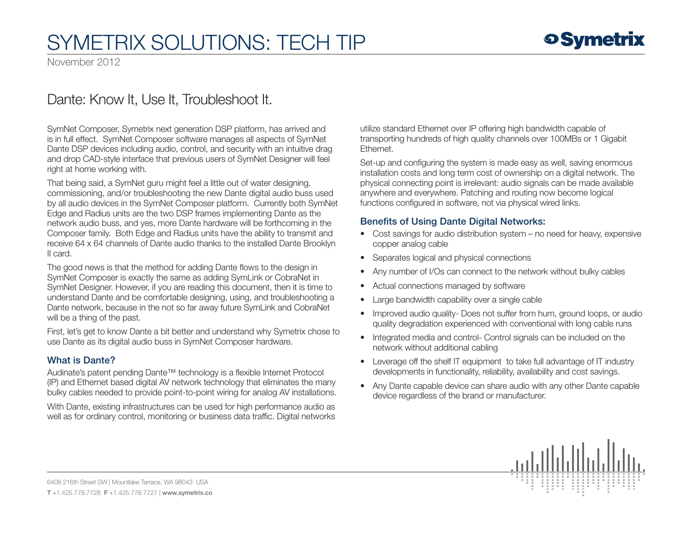# SymETRIX Solutions: Tech Tip

November 2012

### Dante: Know It, Use It, Troubleshoot It.

SymNet Composer, Symetrix next generation DSP platform, has arrived and is in full effect. SymNet Composer software manages all aspects of SymNet Dante DSP devices including audio, control, and security with an intuitive drag and drop CAD-style interface that previous users of SymNet Designer will feel right at home working with.

That being said, a SymNet guru might feel a little out of water designing, commissioning, and/or troubleshooting the new Dante digital audio buss used by all audio devices in the SymNet Composer platform. Currently both SymNet Edge and Radius units are the two DSP frames implementing Dante as the network audio buss, and yes, more Dante hardware will be forthcoming in the Composer family. Both Edge and Radius units have the ability to transmit and receive 64 x 64 channels of Dante audio thanks to the installed Dante Brooklyn II card.

The good news is that the method for adding Dante flows to the design in SymNet Composer is exactly the same as adding SymLink or CobraNet in SymNet Designer. However, if you are reading this document, then it is time to understand Dante and be comfortable designing, using, and troubleshooting a Dante network, because in the not so far away future SymLink and CobraNet will be a thing of the past.

First, let's get to know Dante a bit better and understand why Symetrix chose to use Dante as its digital audio buss in SymNet Composer hardware.

#### What is Dante?

Audinate's patent pending Dante™ technology is a flexible Internet Protocol (IP) and Ethernet based digital AV network technology that eliminates the many bulky cables needed to provide point-to-point wiring for analog AV installations.

With Dante, existing infrastructures can be used for high performance audio as well as for ordinary control, monitoring or business data traffic. Digital networks utilize standard Ethernet over IP offering high bandwidth capable of transporting hundreds of high quality channels over 100MBs or 1 Gigabit Ethernet.

Set-up and configuring the system is made easy as well, saving enormous installation costs and long term cost of ownership on a digital network. The physical connecting point is irrelevant: audio signals can be made available anywhere and everywhere. Patching and routing now become logical functions configured in software, not via physical wired links.

#### Benefits of Using Dante Digital Networks:

- Cost savings for audio distribution system no need for heavy, expensive copper analog cable
- Separates logical and physical connections
- Any number of I/Os can connect to the network without bulky cables
- Actual connections managed by software
- Large bandwidth capability over a single cable
- Improved audio quality- Does not suffer from hum, ground loops, or audio quality degradation experienced with conventional with long cable runs
- Integrated media and control- Control signals can be included on the network without additional cabling
- Leverage off the shelf IT equipment to take full advantage of IT industry developments in functionality, reliability, availability and cost savings.
- Any Dante capable device can share audio with any other Dante capable device regardless of the brand or manufacturer.



6408 216th Street SW | Mountlake Terrace, WA 98043 USA T +1.425.778.7728 F +1.425.778.7727 | www.symetrix.co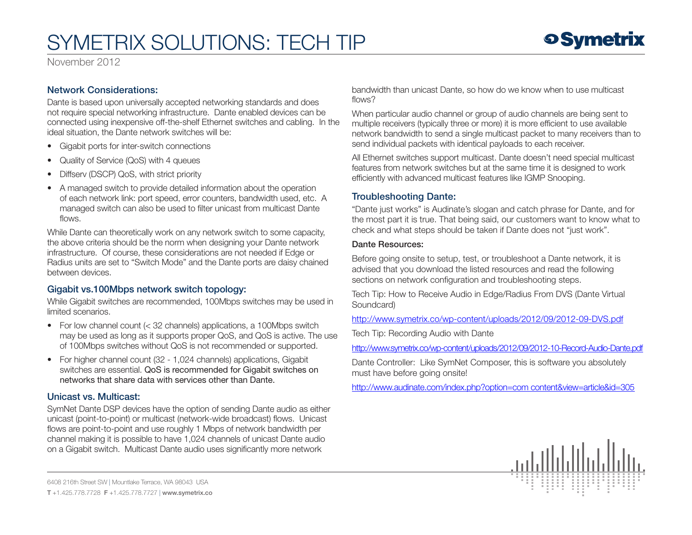November 2012

### Network Considerations:

Dante is based upon universally accepted networking standards and does not require special networking infrastructure. Dante enabled devices can be connected using inexpensive off-the-shelf Ethernet switches and cabling. In the ideal situation, the Dante network switches will be:

- Gigabit ports for inter-switch connections
- Quality of Service (QoS) with 4 queues
- Diffserv (DSCP) QoS, with strict priority
- A managed switch to provide detailed information about the operation of each network link: port speed, error counters, bandwidth used, etc. A managed switch can also be used to filter unicast from multicast Dante flows.

While Dante can theoretically work on any network switch to some capacity, the above criteria should be the norm when designing your Dante network infrastructure. Of course, these considerations are not needed if Edge or Radius units are set to "Switch Mode" and the Dante ports are daisy chained between devices.

### Gigabit vs.100Mbps network switch topology:

While Gigabit switches are recommended, 100Mbps switches may be used in limited scenarios.

- For low channel count  $( $32$  channels) applications, a 100Mbps switch$  may be used as long as it supports proper QoS, and QoS is active. The use of 100Mbps switches without QoS is not recommended or supported.
- For higher channel count (32 1,024 channels) applications, Gigabit switches are essential. QoS is recommended for Gigabit switches on networks that share data with services other than Dante.

### Unicast vs. Multicast:

SymNet Dante DSP devices have the option of sending Dante audio as either unicast (point-to-point) or multicast (network-wide broadcast) flows. Unicast flows are point-to-point and use roughly 1 Mbps of network bandwidth per channel making it is possible to have 1,024 channels of unicast Dante audio on a Gigabit switch. Multicast Dante audio uses significantly more network

bandwidth than unicast Dante, so how do we know when to use multicast flows?

When particular audio channel or group of audio channels are being sent to multiple receivers (typically three or more) it is more efficient to use available network bandwidth to send a single multicast packet to many receivers than to send individual packets with identical payloads to each receiver.

All Ethernet switches support multicast. Dante doesn't need special multicast features from network switches but at the same time it is designed to work efficiently with advanced multicast features like IGMP Snooping.

### Troubleshooting Dante:

"Dante just works" is Audinate's slogan and catch phrase for Dante, and for the most part it is true. That being said, our customers want to know what to check and what steps should be taken if Dante does not "just work".

#### Dante Resources:

Before going onsite to setup, test, or troubleshoot a Dante network, it is advised that you download the listed resources and read the following sections on network configuration and troubleshooting steps.

Tech Tip: How to Receive Audio in Edge/Radius From DVS (Dante Virtual Soundcard)

http://www.symetrix.co/wp-content/uploads/2012/09/2012-09-DVS.pdf

Tech Tip: Recording Audio with Dante

http://www.symetrix.co/wp-content/uploads/2012/09/2012-10-Record-Audio-Dante.pdf

Dante Controller: Like SymNet Composer, this is software you absolutely must have before going onsite!

http://www.audinate.com/index.php?option=com content&view=article&id=305

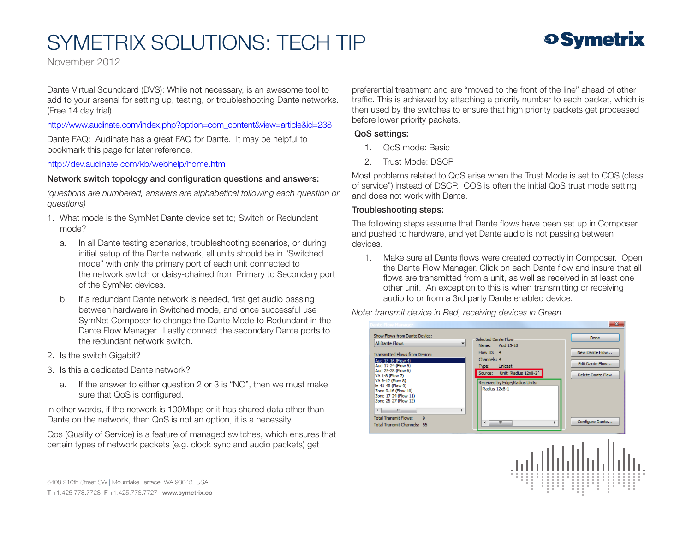November 2012

Dante Virtual Soundcard (DVS): While not necessary, is an awesome tool to add to your arsenal for setting up, testing, or troubleshooting Dante networks. (Free 14 day trial)

http://www.audinate.com/index.php?option=com\_content&view=article&id=238

Dante FAQ: Audinate has a great FAQ for Dante. It may be helpful to bookmark this page for later reference.

http://dev.audinate.com/kb/webhelp/home.htm

#### Network switch topology and configuration questions and answers:

*(questions are numbered, answers are alphabetical following each question or questions)*

- 1. What mode is the SymNet Dante device set to; Switch or Redundant mode?
	- a. In all Dante testing scenarios, troubleshooting scenarios, or during initial setup of the Dante network, all units should be in "Switched mode" with only the primary port of each unit connected to the network switch or daisy-chained from Primary to Secondary port of the SymNet devices.
	- b. If a redundant Dante network is needed, first get audio passing between hardware in Switched mode, and once successful use SymNet Composer to change the Dante Mode to Redundant in the Dante Flow Manager. Lastly connect the secondary Dante ports to the redundant network switch.
- 2. Is the switch Gigabit?
- 3. Is this a dedicated Dante network?
	- a. If the answer to either question 2 or 3 is "NO", then we must make sure that QoS is configured.

In other words, if the network is 100Mbps or it has shared data other than Dante on the network, then QoS is not an option, it is a necessity.

Qos (Quality of Service) is a feature of managed switches, which ensures that certain types of network packets (e.g. clock sync and audio packets) get

preferential treatment and are "moved to the front of the line" ahead of other traffic. This is achieved by attaching a priority number to each packet, which is then used by the switches to ensure that high priority packets get processed before lower priority packets.

#### QoS settings:

- 1. QoS mode: Basic
- 2. Trust Mode: DSCP

Most problems related to QoS arise when the Trust Mode is set to COS (class of service") instead of DSCP. COS is often the initial QoS trust mode setting and does not work with Dante.

#### Troubleshooting steps:

The following steps assume that Dante flows have been set up in Composer and pushed to hardware, and yet Dante audio is not passing between devices.

1. Make sure all Dante flows were created correctly in Composer. Open the Dante Flow Manager. Click on each Dante flow and insure that all flows are transmitted from a unit, as well as received in at least one other unit. An exception to this is when transmitting or receiving audio to or from a 3rd party Dante enabled device.

*Note: transmit device in Red, receiving devices in Green.* 



6408 216th Street SW | Mountlake Terrace, WA 98043 USA

T +1.425.778.7728 F +1.425.778.7727 | www.symetrix.co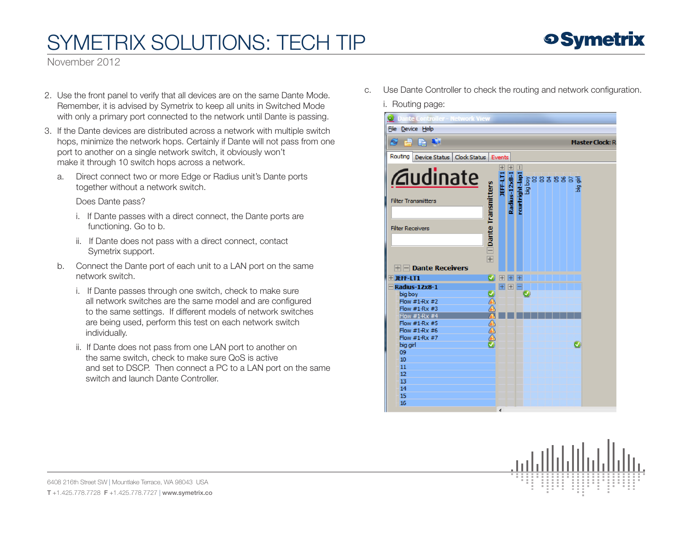November 2012

- 2. Use the front panel to verify that all devices are on the same Dante Mode. Remember, it is advised by Symetrix to keep all units in Switched Mode with only a primary port connected to the network until Dante is passing.
- 3. If the Dante devices are distributed across a network with multiple switch hops, minimize the network hops. Certainly if Dante will not pass from one port to another on a single network switch, it obviously won't make it through 10 switch hops across a network.
	- a. Direct connect two or more Edge or Radius unit's Dante ports together without a network switch.

Does Dante pass?

- i. If Dante passes with a direct connect, the Dante ports are functioning. Go to b.
- ii. If Dante does not pass with a direct connect, contact Symetrix support.
- b. Connect the Dante port of each unit to a LAN port on the same network switch.
	- i. If Dante passes through one switch, check to make sure all network switches are the same model and are configured to the same settings. If different models of network switches are being used, perform this test on each network switch individually.
	- ii. If Dante does not pass from one LAN port to another on the same switch, check to make sure QoS is active and set to DSCP. Then connect a PC to a LAN port on the same switch and launch Dante Controller.

c. Use Dante Controller to check the routing and network configuration.

i. Routing page:



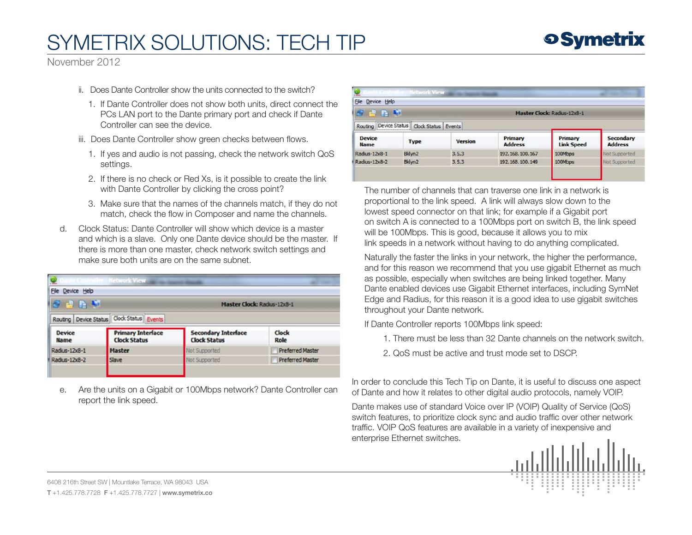

November 2012

- ii. Does Dante Controller show the units connected to the switch?
	- 1. If Dante Controller does not show both units, direct connect the PCs LAN port to the Dante primary port and check if Dante Controller can see the device.
- iii. Does Dante Controller show green checks between flows.
	- 1. If yes and audio is not passing, check the network switch QoS settings.
	- 2. If there is no check or Red Xs, is it possible to create the link with Dante Controller by clicking the cross point?
	- 3. Make sure that the names of the channels match, if they do not match, check the flow in Composer and name the channels.
- d. Clock Status: Dante Controller will show which device is a master and which is a slave. Only one Dante device should be the master. If there is more than one master, check network switch settings and make sure both units are on the same subnet.

| <b>File</b><br>Device Help   |                                                 |                                                   |                         |  |  |  |  |  |
|------------------------------|-------------------------------------------------|---------------------------------------------------|-------------------------|--|--|--|--|--|
| <b>SAR</b>                   |                                                 | <b>Master Clock: Radus-12x8-1</b>                 |                         |  |  |  |  |  |
| Routing Device Status        | Clock Status Events                             |                                                   |                         |  |  |  |  |  |
| <b>Device</b><br><b>Name</b> | <b>Primary Interface</b><br><b>Clock Status</b> | <b>Secondary Interface</b><br><b>Clock Status</b> | <b>Clock</b><br>Role    |  |  |  |  |  |
| Radius-12x8-1                | <b>Master</b>                                   | Not Supported                                     | <b>Preferred Master</b> |  |  |  |  |  |
| Radius-12x8-2                | Slave                                           | Not Supported                                     | <b>Preferred Master</b> |  |  |  |  |  |

e. Are the units on a Gigabit or 100Mbps network? Dante Controller can report the link speed.

| Device Help<br>File                                             |                    |                     |                                    |                              |                             |  |  |  |  |
|-----------------------------------------------------------------|--------------------|---------------------|------------------------------------|------------------------------|-----------------------------|--|--|--|--|
| <b>白色期</b>                                                      |                    |                     | <b>Master Clock: Radius-12x8-1</b> |                              |                             |  |  |  |  |
| ,,,,,,,,,,,,,,,,,,,,,,,,,,,,,,,,,,,<br>Device Status<br>Routing |                    | Clock Status Events |                                    |                              |                             |  |  |  |  |
| <b>Device</b><br><b>Name</b>                                    | <b>Type</b>        | <b>Version</b>      | Primary<br><b>Address</b>          | Primary<br><b>Link Speed</b> | Secondary<br><b>Address</b> |  |  |  |  |
| Radius-12x8-1                                                   | Bklyn <sub>2</sub> | 3.5.3               | 192.168.100.167                    | 100Mbps                      | Not Supported               |  |  |  |  |
| Radius-12x8-2                                                   | Bklyn2             | 3.5.3               | 192.168.100.149                    | 100Mbps                      | Not Supported               |  |  |  |  |

The number of channels that can traverse one link in a network is proportional to the link speed. A link will always slow down to the lowest speed connector on that link; for example if a Gigabit port on switch A is connected to a 100Mbps port on switch B, the link speed will be 100Mbps. This is good, because it allows you to mix link speeds in a network without having to do anything complicated.

 Naturally the faster the links in your network, the higher the performance, and for this reason we recommend that you use gigabit Ethernet as much as possible, especially when switches are being linked together. Many Dante enabled devices use Gigabit Ethernet interfaces, including SymNet Edge and Radius, for this reason it is a good idea to use gigabit switches throughout your Dante network.

If Dante Controller reports 100Mbps link speed:

- 1. There must be less than 32 Dante channels on the network switch.
- 2. QoS must be active and trust mode set to DSCP.

In order to conclude this Tech Tip on Dante, it is useful to discuss one aspect of Dante and how it relates to other digital audio protocols, namely VOIP.

Dante makes use of standard Voice over IP (VOIP) Quality of Service (QoS) switch features, to prioritize clock sync and audio traffic over other network traffic. VOIP QoS features are available in a variety of inexpensive and enterprise Ethernet switches.